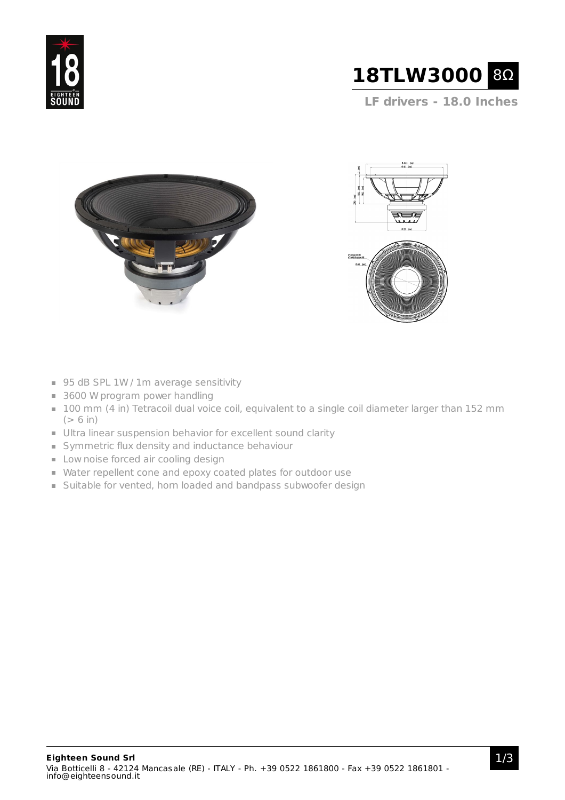



**LF drivers - 18.0 Inches**





- 95 dB SPL 1W / 1m average sensitivity
- 3600 W program power handling
- 100 mm (4 in) Tetracoil dual voice coil, equivalent to a single coil diameter larger than 152 mm  $(> 6 in)$
- Ultra linear suspension behavior for excellent sound clarity
- Symmetric flux density and inductance behaviour
- **Low noise forced air cooling design**
- Water repellent cone and epoxy coated plates for outdoor use
- Suitable for vented, horn loaded and bandpass subwoofer design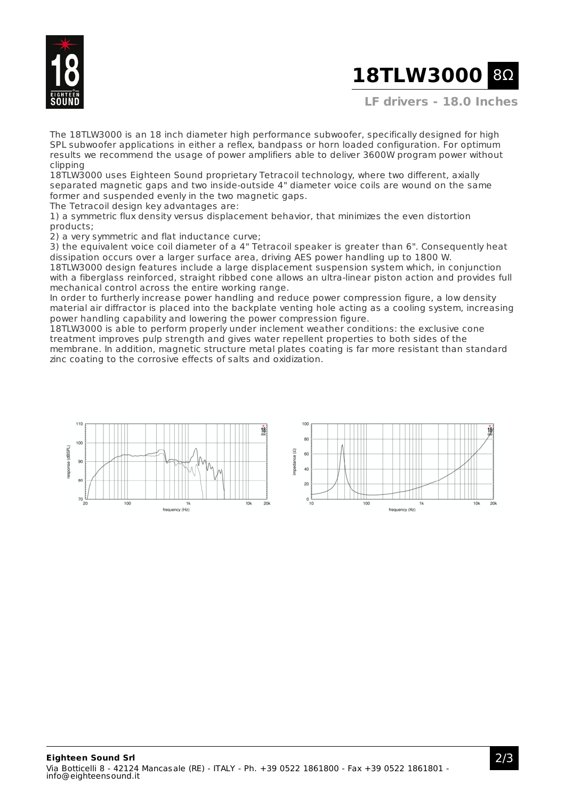

## **18TLW3000 8Ω**

**LF drivers - 18.0 Inches**

The 18TLW3000 is an 18 inch diameter high performance subwoofer, specifically designed for high SPL subwoofer applications in either a reflex, bandpass or horn loaded configuration. For optimum results we recommend the usage of power amplifiers able to deliver 3600W program power without clipping

18TLW3000 uses Eighteen Sound proprietary Tetracoil technology, where two different, axially separated magnetic gaps and two inside-outside 4" diameter voice coils are wound on the same former and suspended evenly in the two magnetic gaps.

The Tetracoil design key advantages are:

1) a symmetric flux density versus displacement behavior, that minimizes the even distortion products;

2) a very symmetric and flat inductance curve;

3) the equivalent voice coil diameter of a 4" Tetracoil speaker is greater than 6". Consequently heat dissipation occurs over a larger surface area, driving AES power handling up to 1800 W.

18TLW3000 design features include a large displacement suspension system which, in conjunction with a fiberglass reinforced, straight ribbed cone allows an ultra-linear piston action and provides full mechanical control across the entire working range.

In order to furtherly increase power handling and reduce power compression figure, a low density material air diffractor is placed into the backplate venting hole acting as a cooling system, increasing power handling capability and lowering the power compression figure.

18TLW3000 is able to perform properly under inclement weather conditions: the exclusive cone treatment improves pulp strength and gives water repellent properties to both sides of the membrane. In addition, magnetic structure metal plates coating is far more resistant than standard zinc coating to the corrosive effects of salts and oxidization.